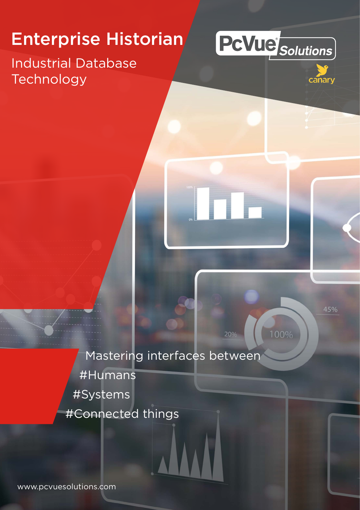# Enterprise Historian

### Industrial Database **Technology**





45%

100%

Mastering interfaces between #Humans #Systems #Connected things

[www.pcvuesolutions.com](http://www.pcvuesolutions.com/)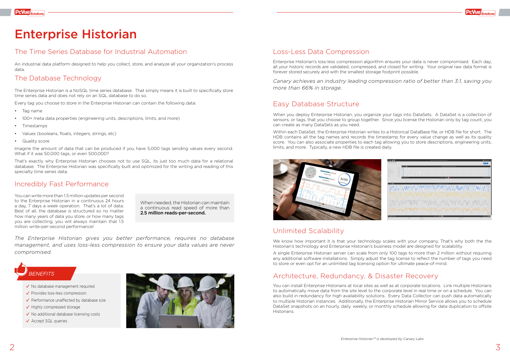## Enterprise Historian

#### The Time Series Database for Industrial Automation

An industrial data platform designed to help you collect, store, and analyze all your organization's process data.

#### The Database Technology

The Enterprise Historian is a NoSQL time series database. That simply means it is built to specifically store time series data and does not rely on an SQL database to do so.

Every tag you choose to store in the Enterprise Historian can contain the following data:

- Tag name
- 100+ meta data properties (engineering units, descriptions, limits, and more)
- Timestamps
- Values (booleans, floats, integers, strings, etc)
- Quality score

Imagine the amount of data that can be produced if you have 5,000 tags sending values every second. What if it was 50,000 tags, or even 500,000?

That's exactly why Enterprise Historian chooses not to use SQL, its just too much data for a relational database. The Enterprise Historian was specifically built and optimized for the writing and reading of this specialty time series data.

When you deploy Enterprise Historian, you organize your tags into DataSets. A DataSet is a collection of sensors, or tags, that you choose to group together. Since you license the Historian only by tag count, you can create as many DataSets as you need.

#### Incredibly Fast Performance

When needed, the Historian can maintain a continuous read speed of more than 2.5 million reads-per-second.

#### Loss-Less Data Compression

We know how important it is that your technology scales with your company. That's why both the the Historian's technology and Enterprise Historian's business model are designed for scalability.

Enterprise Historian's loss-less compression algorithm ensures your data is never compromised. Each day, all your historic records are validated, compressed, and closed for writing. Your original raw data format is forever stored securely and with the smallest storage footprint possible.

*Canary achieves an industry leading compression ratio of better than 3:1, saving you more than 66% in storage.*

#### Easy Database Structure

Within each DataSet, the Enterprise Historian writes to a Historical DataBase file, or HDB file for short. The HDB contains all the tag names and records the timestamp for every value change as well as its quality score. You can also associate properties to each tag allowing you to store descriptions, engineering units, limits, and more. Typically, a new HDB file is created daily.



#### Unlimited Scalability

A single Enterprise Historian server can scale from only 100 tags to more than 2 million without requiring any additional software installations. Simply adjust the tag license to reflect the number of tags you need to store or even opt for an unlimited tag licensing option for ultimate peace-of-mind.

#### Architecture, Redundancy, & Disaster Recovery

You can install Enterprise Historians at local sites as well as at corporate locations. Link multiple Historians to automatically move data from the site level to the corporate level in real time or on a schedule. You can also build in redundancy for high availability solutions. Every Data Collector can push data automatically to multiple Historian instances. Additionally, the Enterprise Historian Mirror Service allows you to schedule DataSet snapshots on an hourly, daily, weekly, or monthly schedule allowing for data duplication to offsite Historians.

You can write more than 1.5 million updates per second to the Enterprise Historian in a continuous 24 hours a day, 7 days a week operation. That's a lot of data. Best of all, the database is structured so no matter how many years of data you store, or how many tags you are collecting, you will always maintain that 1.5 million write-per-second performance!



- $\checkmark$  No database management required
- $\checkmark$  Provides loss-less compression
- $\checkmark$  Performance unaffected by database size
- $\checkmark$  Highly compressed storage
- $\checkmark$  No additional database licensing costs
- $\checkmark$  Accept SQL queries



*The Enterprise Historian gives you better performance, requires no database management, and uses loss-less compression to ensure your data values are never compromised.*